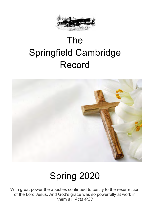

# The Springfield Cambridge Record



# Spring 2020

With great power the apostles continued to testify to the resurrection of the Lord Jesus. And God's grace was so powerfully at work in them all. *Acts 4:33*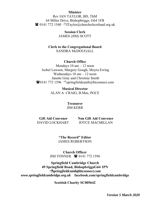#### **Minister**

Rev IAN TAYLOR, BD, ThM 64 Miller Drive, Bishopbriggs, G64 1FB  $\bullet$  0141 772 1540  $\bullet$  Taylor@churchofscotland.org.uk

> **Session Clerk**  JAMES (JIM) SCOTT

**Clerk to the Congregational Board**  SANDRA McDOUGALL

#### **Church Office**

Mondays 10 am – 12 noon Isobel Lawson, Margery Gough, Moyra Ewing Wednesdays 10 am – 12 noon Janette Gray and Christine Smith  $\bullet$ 0141 772 1596 Springfieldcamb@btconnect.com

> **Musical Director**  ALAN A. CRAIG, B.Mus, PGCE

#### **Treasurer**  JIM KERR

**Gift Aid Convener** Non Gift Aid Convener DAVID LOCKHART JOYCE MACMILLAN

> **"The Record" Editor** JAMES ROBERTSON

**Church Officer** JIM TONNER **<sup>1</sup>** 0141 772 1596

**Springfield Cambridge Church 49 Springfield Road, BishopbriggsG64 1PN** *springfieldcamb@btconnect.com www.springfieldcambridge.org.uk* **facebook.com/springfieldcambridge**

**Scottish Charity SC005642**

*Version 5 March 2020*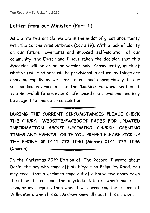## **Letter from our Minister (Part 1)**

As I write this article, we are in the midst of great uncertainty with the Corona virus outbreak (Covid 19). With a lack of clarity on our future movements and imposed 'self-isolation' of our community, the Editor and I have taken the decision that this Magazine will be an online version only. Consequently, much of what you will find here will be provisional in nature, as things are changing rapidly as we seek to respond appropriately to our surrounding environment. In the **'Looking Forward'** section of *The Record* all future events referenced are provisional and may be subject to change or cancelation.

**DURING THE CURRENT CIRCUMSTANCES PLEASE CHECK THE CHURCH WEBSITE/FACEBOOK PAGES FOR UPDATED INFORMATION ABOUT UPCOMING CHURCH OPENING TIMES AND EVENTS. OR IF YOU PREFER PLEASE PICK UP THE PHONE 0141 772 1540 (Manse) 0141 772 1596 (Church).** 300

 $\hspace{.1in}$   $\hspace{.1in}$   $\hspace{.1in}$   $\hspace{.1in}$   $\hspace{.1in}$   $\hspace{.1in}$   $\hspace{.1in}$   $\hspace{.1in}$   $\hspace{.1in}$   $\hspace{.1in}$   $\hspace{.1in}$   $\hspace{.1in}$   $\hspace{.1in}$   $\hspace{.1in}$   $\hspace{.1in}$   $\hspace{.1in}$   $\hspace{.1in}$   $\hspace{.1in}$   $\hspace{.1in}$   $\hspace{.1in}$ 

In the Christmas 2019 Edition of 'The Record' I wrote about Daniel the boy who came off his bicycle on Balmuildy Road. You may recall that a workman came out of a house two doors down the street to transport the bicycle back to its owner's home. Imagine my surprise then when I was arranging the funeral of Willie Minto when his son Andrew knew all about this incident.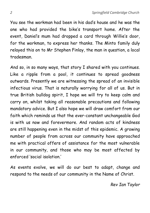You see the workman had been in his dad's house and he was the one who had provided the bike's transport home. After the event, Daniel's mum had dropped a card through Willie's door, for the workman, to express her thanks. The Minto family duly relayed this on to Mr Stephen Finlay, the man in question, a local tradesman.

And so, in so many ways, that story I shared with you continues. Like a ripple from a pool, it continues to spread goodness outwards. Presently we are witnessing the spread of an invisible infectious virus. That is naturally worrying for all of us. But in true British bulldog spirit, I hope we will try to keep calm and carry on, whilst taking all reasonable precautions and following mandatory advice. But I also hope we will draw comfort from our faith which reminds us that the ever-constant unchangeable God is with us now and forevermore. And random acts of kindness are still happening even in the midst of this epidemic. A growing number of people from across our community have approached me with practical offers of assistance for the most vulnerable in our community, and those who may be most affected by enforced 'social isolation.'

As events evolve, we will do our best to adapt, change and respond to the needs of our community in the Name of Christ.

*Rev Ian Taylor*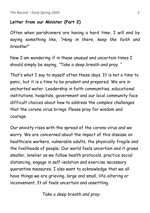*The Record – Early Spring 2020 3*

## **Letter from our Minister (Part 2)**

Often when parishioners are having a hard time, I will end by saying something like, *"Hang in there, keep the faith and breathe!"*

Now I am wondering if in these unusual and uncertain times I should simply be saying, *"Take a deep breath and pray. "*

That's what I say to myself often these days. It is not a time to panic, but it is a time to be prudent and prepared. We are in uncharted water. Leadership in faith communities, educational institutions, hospitals, government and our local community face difficult choices about how to address the complex challenges that the corona virus brings. Please pray for wisdom and courage.

Our anxiety rises with the spread of the corona virus and we worry. We are concerned about the impact of this disease on healthcare workers, vulnerable adults, the physically fragile and the livelihoods of people. Our world feels uncertain and it grows smaller, lonelier as we follow health protocols, practice social distancing, engage in self-isolation and exercise necessary quarantine measures. I also want to acknowledge that we all have things we are grieving, large and small, life-altering or inconvenient. It all feels uncertain and unsettling.

*Take a deep breath and pray.*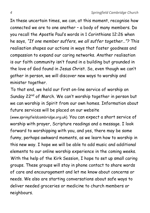In these uncertain times, we can, at this moment, recognise how connected we are to one another – a body of many members. Do you recall the Apostle Paul's words in 1 Corinthians 12:26 when he says, *"If one member suffers, we all suffer together…"?* This realisation shapes our actions in ways that foster goodness and compassion to expand our caring networks. Another realisation is our faith community isn't found in a building but grounded in the love of God found in Jesus Christ. So, even though we can't gather in person, we will discover new ways to worship and minister together.

To that end, we held our first on-line service of worship on Sunday 22<sup>nd</sup> of March. We can't worship together in person but we can worship in Spirit from our own homes. Information about future services will be placed on our website

(*www.springfieldcambridge.org.uk*). You can expect a short service of worship with prayer, Scripture readings and a message. I look forward to worshipping with you, and yes, there may be some funny, perhaps awkward moments, as we learn how to worship in this new way. I hope we will be able to add music and additional elements to our online worship experience in the coming weeks. With the help of the Kirk Session, I hope to set up small caring groups. These groups will stay in phone contact to share words of care and encouragement and let me know about concerns or needs. We also are starting conversations about safe ways to deliver needed groceries or medicine to church members or neighbours.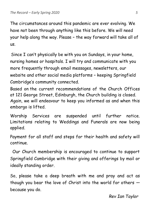The circumstances around this pandemic are ever evolving. We have not been through anything like this before. We will need your help along the way. Please – the way forward will take all of us.

Since I can't physically be with you on Sundays, in your home, nursing homes or hospitals. I will try and communicate with you more frequently through email messages, newsletters, our website and other social media platforms – keeping Springfield Cambridge's community connected.

Based on the current recommendations of the Church Offices at 121 George Street, Edinburgh, the Church building is closed. Again, we will endeavour to keep you informed as and when this embargo is lifted.

Worship Services are suspended until further notice. Limitations relating to Weddings and Funerals are now being applied.

Payment for all staff and steps for their health and safety will continue.

Our Church membership is encouraged to continue to support Springfield Cambridge with their giving and offerings by mail or ideally standing order.

So, please take a deep breath with me and pray and act as though you bear the love of Christ into the world for others because you do.

*Rev Ian Taylor*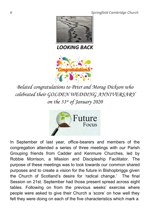*6 Springfield Cambridge Church*



*LOOKING BACK*



*Belated congratulations to Peter and Morag Dickson who celebrated their GOLDEN WEDDING ANNIVERSARY on the 31st of January 2020*



In September of last year, office-bearers and members of the congregation attended a series of three meetings with our Parish Grouping friends from Cadder and Kenmure Churches, led by Robbie Morrison, a Mission and Discipleship Facilitator. The purpose of these meetings was to look towards our common shared purposes and to create a vision for the future in Bishopbriggs given the Church of Scotland's desire for 'radical change.' The final Session on 21st. September had those present spread across eight tables. Following on from the previous weeks' exercise where people were asked to give their Church a 'score' on how well they felt they were doing on each of the five characteristics which mark a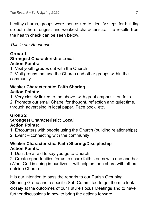healthy church, groups were then asked to identify steps for building up both the strongest and weakest characteristic. The results from the health check can be seen below.

*This is our Response:*

## **Group 1 Strongest Characteristic: Local Action Points:**

1. Visit youth groups out with the Church

2. Visit groups that use the Church and other groups within the community

## **Weaker Characteristic: Faith Sharing Action Points:**

1. Very closely linked to the above, with great emphasis on faith 2. Promote our small Chapel for thought, reflection and quiet time, through advertising in local paper, Face book, etc.

## **Group 2**

## **Strongest Characteristic: Local Action Points:**

1. Encounters with people using the Church (building relationships)

2. Event – connecting with the community

## **Weaker Characteristic: Faith Sharing/Discipleship Action Points:**

1. Don't be afraid to say you go to Church!

2. Create opportunities for us to share faith stories with one another (What God is doing in our lives – will help us then share with others outside Church.)

It is our intention to pass the reports to our Parish Grouping Steering Group and a specific Sub-Committee to get them to look closely at the outcomes of our Future Focus Meetings and to have further discussions in how to bring the actions forward.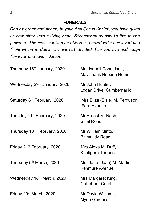## **FUNERALS**

*God of grace and peace, in your Son Jesus Christ, you have given us new birth into a living hope. Strengthen us now to live in the power of the resurrection and keep us united with our loved one from whom in death we are not divided. For you live and reign for ever and ever. Amen.*

| Thursday 16 <sup>th</sup> January, 2020  | Mrs Isabell Donaldson,<br><b>Mavisbank Nursing Home</b> |
|------------------------------------------|---------------------------------------------------------|
| Wednesday 29 <sup>th</sup> January, 2020 | Mr John Hunter,<br>Logan Drive, Cumbernauld             |
| Saturday 8 <sup>th</sup> February, 2020  | Mrs Eliza (Elsie) M. Ferguson,<br>Fern Avenue           |
| Tuesday 11 <sup>t</sup> . February, 2020 | Mr Ernest M. Nash,<br><b>Shiel Road</b>                 |
| Thursday 13 <sup>th</sup> February, 2020 | Mr William Minto,<br><b>Balmuildy Road</b>              |
| Friday 21 <sup>st</sup> February, 2020   | Mrs Alexa M. Duff,<br>Kentigern Terrace                 |
| Thursday 5 <sup>th</sup> March, 2020     | Mrs Jane (Jean) M. Martin,<br><b>Kenmure Avenue</b>     |
| Wednesday 18 <sup>th</sup> March, 2020   | Mrs Margaret King,<br><b>Callieburn Court</b>           |
| Friday 20 <sup>th</sup> March, 2020      | Mr David Williams,<br><b>Myrie Gardens</b>              |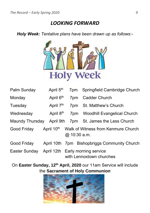## *LOOKING FORWARD*

*Holy Week: Tentative plans have been drawn up as follows:-*



| Palm Sunday     | April 5 <sup>th</sup> | 7pm          | Springfield Cambridge Church                                 |
|-----------------|-----------------------|--------------|--------------------------------------------------------------|
| Monday          | April 6 <sup>th</sup> | 7pm          | Cadder Church                                                |
| Tuesday         | April 7 <sup>th</sup> | 7pm          | St. Matthew's Church                                         |
| Wednesday       | April 8 <sup>th</sup> |              | 7pm Woodhill Evangelical Church                              |
| Maundy Thursday | April 9th             |              | 7pm St. James the Less Church                                |
| Good Friday     |                       | @ 10:30 a.m. | April 10 <sup>th</sup> Walk of Witness from Kenmure Church   |
| Good Friday     |                       |              | April 10th 7pm Bishopbriggs Community Church                 |
| Easter Sunday   |                       |              | April 12th Early morning service<br>with Lennoxtown churches |

On **Easter Sunday, 12th April, 2020** our 11am Service will include the **Sacrament of Holy Communion**

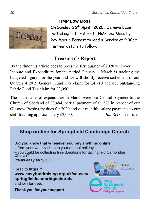

**HMP Low Moss** On **Sunday 26th April, 2020,** we have been invited again to return to HMP Low Moss by Rev Martin Forrest to lead a Service at 9.30am. Further details to follow.

# **Treasurer's Report**

By the time this article goes to press the first quarter of 2020 will over! Income and Expenditure for the period January – March is tracking the budgeted figures for the year and we will shortly receive settlement of our Quarter 4 2019 General Fund Tax claim for £4,710 and our outstanding Fabric Fund Tax claim for £3,050.

The main items of expenditure in March were our Central payment to the Church of Scotland of £8,484, partial payment of £1,527 in respect of our Glasgow Presbytery dues for 2020 and our monthly salary payments to our staff totalling approximately £2,000. *Jim Kerr*, Treasurer

## Shop on-line for Springfield Cambridge Church

Did you know that whenever you buy anything online - from your weekly shop to your annual holiday - you could be collecting free donations for Springfield Cambridge Church? It's as easy as 1, 2, 3...

Head to https:// www.easyfundraising.org.uk/causes/ springfieldcambridgechurch/ and join for free.

Thank you for your support

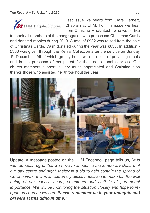

Last issue we heard from Clare Herbert, **CAP LHM** Brighter Futures Chaplain at LHM. For this issue we hear from Christine Mackintosh, who would like

to thank all members of the congregation who purchased Christmas Cards and donated monies during 2019. A total of £932 was raised from the sale of Christmas Cards. Cash donated during the year was £635. In addition - £386 was given through the Retiral Collection after the service on Sunday 1<sup>st</sup> December. All of which greatly helps with the cost of providing meals and in the purchase of equipment for their educational services. Our church members support is very much appreciated and Christine also thanks those who assisted her throughout the year.



Update.,A message posted on the LHM Facebook page tells us*, "It is with deepest regret that we have to announce the temporary closure of our day centre and night shelter in a bid to help contain the spread of Corona virus. It was an extremely difficult decision to make but the well being of our service users, volunteers and staff is of paramount importance. We will be monitoring the situation closely and hope to reopen as soon as we can. Please remember us in your thoughts and prayers at this difficult time."*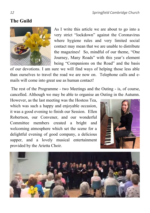## **The Guild**



As I write this article we are about to go into a very strict "lockdown" against the Coronavirus where hygiene rules and very limited social contact may mean that we are unable to distribute the magazines! So, mindful of our theme, "One Journey, Many Roads" with this year's element being "Companions on the Road" and the basis

of our devotions. I am sure we will find ways of helping those less able than ourselves to travel the road we are now on. Telephone calls and emails will come into great use as human contact!

The rest of the Programme - two Meetings and the Outing - is, of course, cancelled. Although we may be able to organise an Outing in the Autumn.

However, as the last meeting was the Hostess Tea, which was such a happy and enjoyable occasion, it was a good evening to finish our Session. Ellen Robertson, our Convener, and our wonderful Committee members created a bright and welcoming atmosphere which set the scene for a delightful evening of good company, a delicious supper, and a lovely musical entertainment provided by the Arietta Choir.



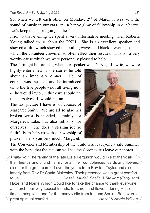So, when we left each other on Monday,  $2<sup>nd</sup>$  of March it was with the sound of music in our ears, and a happy glow of fellowship in our hearts. Let's keep that spirit going, ladies!

Prior to that evening we spent a very informative meeting when Roberta Young talked to us about the RNLI. She is an excellent speaker and showed a film which showed the boiling waves and black lowering skies in which the volunteer crewmen so often effect their rescues. This is a very worthy cause which we were personally pleased to help.

The fortnight before that, when our speaker was Dr Nigel Lawrie, we were

highly entertained by the stories he told about an imaginary dinner. He, of course, was the host, and he introduced us to the five people - not all living now - he would invite. I think we should try this ourselves. It would be fun.

The last picture I have is, of course, of Margaret Smith. We are all so glad her broken wrist is mended, certainly for Margaret's sake, but also selfishly for ourselves! She does a sterling job so faithfully to help us with our worship of praise. Thank you very much, Margaret.



The Convener and Membership of the Guild wish everyone a safe Summer with the hope that the autumn will see the Coronavirus leave our shores.

*Thank you* The family of the late Elsie Ferguson would like to thank all their friends and church family for all their condolences, cards and flowers; also, for the great comfort over the years from Rev Ian Taylor and also latterly from Rev Dr Sonia Blakesley. Their presence was a great comfort to us. *Hazel,. Muriel, Sheila & Stewart (Ferguson)* Hazel and Norrie Wilson would like to take the chance to thank everyone at church, our very special friends, for cards and flowers during Hazel's time in hospital – and for the many visits from Ian and Sonia., Both were a great spiritual comfort. *Hazel & Norrie Wilson*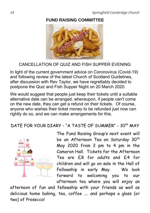## **FUND RAISING COMMITTEE**



## CANCELLATION OF QUIZ AND FISH SUPPER EVENING

In light of the current government advice on Coronovirus (Covid-19) and following review of the latest Church of Scotland Guidelines, after discussion with Rev Taylor, we have regrettably decided to postpone the Quiz and Fish Supper Night on 20 March 2020.

We would suggest that people just keep their tickets until a suitable alternative date can be arranged, whereupon, if people can't come on the new date, they can get a refund on their tickets. Of course, anyone who wishes their ticket money to be refunded just now can rightly do so, and we can make arrangements for this.

DATE FOR YOUR DIARY - "A TASTE OF SUMMER" - 30<sup>th</sup> MAY



The Fund Raising Group's next event will be an Afternoon Tea on Saturday 30<sup>th</sup> May 2020 from 2 pm to 4 pm in the Cameron Hall. Tickets for the Afternoon Tea are £8 for adults and £4 for children and will go on sale in the Hall of Fellowship in early May. We look forward to welcoming you to our afternoon tea where you will enjoy an

afternoon of fun and fellowship with your friends as well as delicious home baking, tea, coffee …. and perhaps a glass (or two) of Prosecco!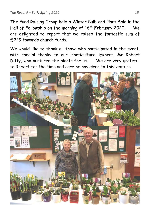The Fund Raising Group held a Winter Bulb and Plant Sale in the Hall of Fellowship on the morning of 16<sup>th</sup> February 2020. We are delighted to report that we raised the fantastic sum of £229 towards church funds.

We would like to thank all those who participated in the event, with special thanks to our Horticultural Expert, Mr Robert Ditty, who nurtured the plants for us. We are very grateful to Robert for the time and care he has given to this venture.

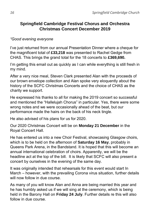## **Springfield Cambridge Festival Chorus and Orchestra Christmas Concert December 2019**

### *"Good evening everyone*

I've just returned from our annual Presentation Dinner where a cheque for the magnificent total of **£33,218** was presented to Rachel Gedge from CHAS. This brings the grand total for the 18 concerts to **£369,690.**

I'm getting this email out as quickly as I can while everything is still fresh in my mind.

After a very nice meal, Steven Clark presented Alan with the proceeds of our brown envelope collection and Alan spoke very eloquently about the history of the SCFC Christmas Concerts and the choice of CHAS as the charity we support.

He expressed his thanks to all for making the 2019 concert so successful and mentioned the "Hallelujah Chorus" in particular. Yes, there were some wrong notes and we were occasionally ahead of the beat, but our performance made the hairs on the back of his neck tingle.

He also advised of his plans for us for 2020.

Our 2020 Christmas Concert will be on **Monday 21 December** in the Royal Concert Hall.

He has entered us into a new Choir Festival, showcasing Glasgow choirs, which is to be held on the afternoon of **Saturday 16 May**, probably in Queens Park Arena, in the Bandstand. It is hoped that this will become an annual international celebration of choirs. Apparently, we will be the headline act at the top of the bill. It is likely that SCFC will also present a concert by ourselves in the evening of the same day.

It was originally intended that rehearsals for this event would start In March – however, with the prevailing Corona virus situation, further details will now follow in due course.

As many of you will know Alan and Anna are being married this year and he has humbly asked us if we will sing at the ceremony, which is being held in the Barony Hall on **Friday 24 July**. Further details re this will also follow in due course.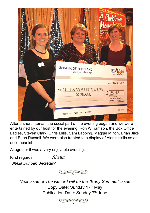

After a short interval, the social part of the evening began and we were entertained by our host for the evening, Ron Williamson, the Box Office Ladies, Steven Clark, Chris Mills, Sam Lapping, Maggie Milton, Brian Jilks and Euan Russell. We were also treated to a display of Alan's skills as an accompanist.

Altogether it was a very enjoyable evening.

Kind regards *Sheila Sheila Dunbar,* Secretary"



*Next issue of The Record will be the "Early Summer" issue* Copy Date: Sunday 17th May Publication Date: Sunday 7<sup>th</sup> June